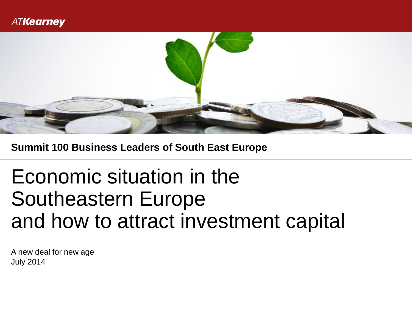

**Summit 100 Business Leaders of South East Europe**

# Economic situation in the Southeastern Europe and how to attract investment capital

July 2014 A new deal for new age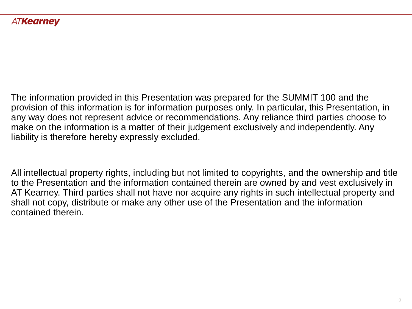The information provided in this Presentation was prepared for the SUMMIT 100 and the provision of this information is for information purposes only. In particular, this Presentation, in any way does not represent advice or recommendations. Any reliance third parties choose to make on the information is a matter of their judgement exclusively and independently. Any liability is therefore hereby expressly excluded.

All intellectual property rights, including but not limited to copyrights, and the ownership and title to the Presentation and the information contained therein are owned by and vest exclusively in AT Kearney. Third parties shall not have nor acquire any rights in such intellectual property and shall not copy, distribute or make any other use of the Presentation and the information contained therein.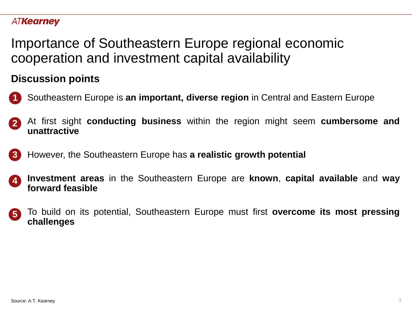Importance of Southeastern Europe regional economic cooperation and investment capital availability

# **Discussion points**

- Southeastern Europe is **an important, diverse region** in Central and Eastern Europe **1**
- At first sight **conducting business** within the region might seem **cumbersome and unattractive 2**
- However, the Southeastern Europe has **a realistic growth potential 3**
- **lnvestment areas** in the Southeastern Europe are **known**, **capital available** and **way forward feasible 4**
- To build on its potential, Southeastern Europe must first **overcome its most pressing challenges 5**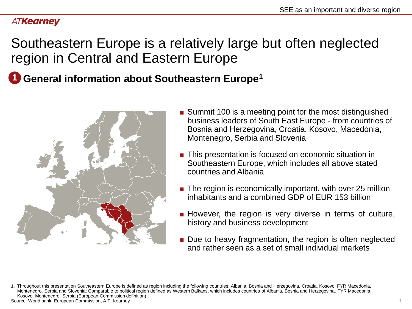# Southeastern Europe is a relatively large but often neglected region in Central and Eastern Europe

# **1** General information about Southeastern Europe<sup>1</sup>



- Summit 100 is a meeting point for the most distinguished business leaders of South East Europe - from countries of Bosnia and Herzegovina, Croatia, Kosovo, Macedonia, Montenegro, Serbia and Slovenia
- This presentation is focused on economic situation in Southeastern Europe, which includes all above stated countries and Albania
- The region is economically important, with over 25 million inhabitants and a combined GDP of EUR 153 billion
- However, the region is very diverse in terms of culture, history and business development
- Due to heavy fragmentation, the region is often neglected and rather seen as a set of small individual markets

<sup>1.</sup> Throughout this presentation Southeastern Europe is defined as region including the following countries: Albania, Bosnia and Herzegovina, Croatia, Kosovo, FYR Macedonia, Montenegro, Serbia and Slovenia; Comparable to political region defined as Western Balkans, which includes countries of Albania, Bosnia and Herzegovina, FYR Macedonia, Kosovo, Montenegro, Serbia (European Commission definition) Source: World bank, European Commission, A.T. Kearney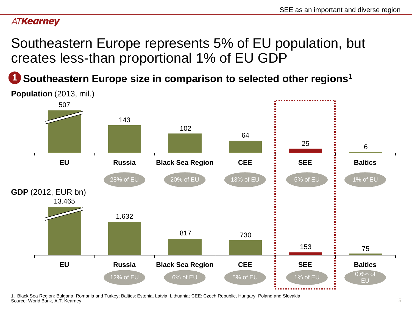Southeastern Europe represents 5% of EU population, but creates less-than proportional 1% of EU GDP

**Southeastern Europe size in comparison to selected other regions<sup>1</sup> 1**



1. Black Sea Region: Bulgaria, Romania and Turkey; Baltics: Estonia, Latvia, Lithuania; CEE: Czech Republic, Hungary, Poland and Slovakia Source: World Bank, A.T. Kearney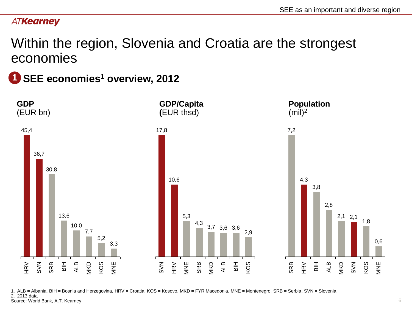# Within the region, Slovenia and Croatia are the strongest economies

**SEE economies<sup>1</sup> overview, 2012 1**



1. ALB = Albania, BIH = Bosnia and Herzegovina, HRV = Croatia, KOS = Kosovo, MKD = FYR Macedonia, MNE = Montenegro, SRB = Serbia, SVN = Slovenia 2. 2013 data Source: World Bank, A.T. Kearney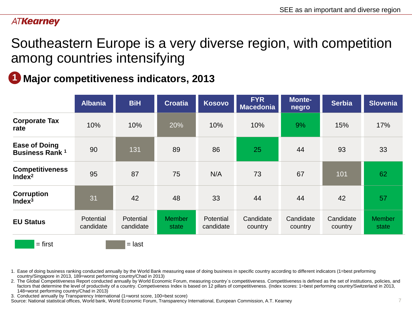Southeastern Europe is a very diverse region, with competition among countries intensifying

# **Major competitiveness indicators, 2013 1**

|                                                | <b>Albania</b>         | <b>BiH</b>             | <b>Croatia</b>         | <b>Kosovo</b>                 | <b>FYR</b><br><b>Macedonia</b> | Monte-<br>negro      | <b>Serbia</b>        | <b>Slovenia</b>        |
|------------------------------------------------|------------------------|------------------------|------------------------|-------------------------------|--------------------------------|----------------------|----------------------|------------------------|
| <b>Corporate Tax</b><br>rate                   | 10%                    | 10%                    | 20%                    | 10%                           | 10%                            | 9%                   | 15%                  | 17%                    |
| <b>Ease of Doing</b><br><b>Business Rank 1</b> | 90                     | 131                    | 89                     | 86                            | 25                             | 44                   | 93                   | 33                     |
| <b>Competitiveness</b><br>Index <sup>2</sup>   | 95                     | 87                     | 75                     | N/A                           | 73                             | 67                   | 101                  | 62                     |
| <b>Corruption</b><br>Index <sup>3</sup>        | 31                     | 42                     | 48                     | 33                            | 44                             | 44                   | 42                   | 57                     |
| <b>EU Status</b>                               | Potential<br>candidate | Potential<br>candidate | <b>Member</b><br>state | <b>Potential</b><br>candidate | Candidate<br>country           | Candidate<br>country | Candidate<br>country | <b>Member</b><br>state |
| $=$ first                                      |                        | $=$ last               |                        |                               |                                |                      |                      |                        |

1. Ease of doing business ranking conducted annually by the World Bank measuring ease of doing business in specific country according to different indicators (1=best preforming country/Singapore in 2013, 189=worst performing country/Chad in 2013)

2. The Global Competitiveness Report conducted annually by World Economic Forum, measuring country's competitiveness. Competitiveness is defined as the set of institutions, policies, and factors that determine the level of productivity of a country. Competiveness Index is based on 12 pillars of competitiveness. (Index scores: 1=best performing country/Switzerland in 2013, 148=worst performing country/Chad in 2013)

3. Conducted annually by Transparency International (1=worst score, 100=best score)

Source: National statistical offices, World bank, World Economic Forum, Transparency International, European Commission, A.T. Kearney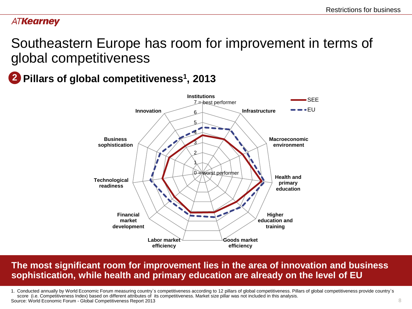8

### **ATKearney**

# Southeastern Europe has room for improvement in terms of global competitiveness

# **Pillars of global competitiveness<sup>1</sup> , 2013 2**



# **The most significant room for improvement lies in the area of innovation and business sophistication, while health and primary education are already on the level of EU**

1. Conducted annually by World Economic Forum measuring country`s competitiveness according to 12 pillars of global competitiveness. Pillars of global competitiveness provide country`s score (i.e. Competitiveness Index) based on different attributes of its competitiveness. Market size pillar was not included in this analysis. Source: World Economic Forum - Global Competitiveness Report 2013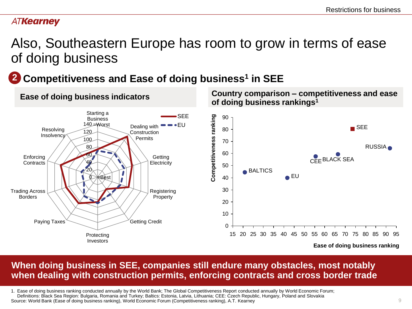# Also, Southeastern Europe has room to grow in terms of ease of doing business

# **Competitiveness and Ease of doing business<sup>1</sup> in SEE 2**



# **When doing business in SEE, companies still endure many obstacles, most notably when dealing with construction permits, enforcing contracts and cross border trade**

1. Ease of doing business ranking conducted annually by the World Bank; The Global Competitiveness Report conducted annually by World Economic Forum; Definitions: Black Sea Region: Bulgaria, Romania and Turkey; Baltics: Estonia, Latvia, Lithuania; CEE: Czech Republic, Hungary, Poland and Slovakia Source: World Bank (Ease of doing business ranking), World Economic Forum (Competitiveness ranking), A.T. Kearney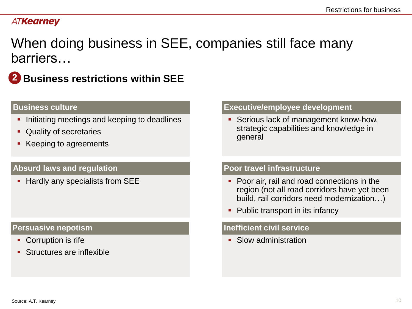When doing business in SEE, companies still face many barriers…



**Business restrictions within SEE 2**

- **Initiating meetings and keeping to deadlines**
- **Quality of secretaries**
- Keeping to agreements

### Absurd laws and regulation **Poor travel infrastructure**

- Corruption is rife
- **Structures are inflexible**

### **Business culture Executive/employee development**

**Serious lack of management know-how,** strategic capabilities and knowledge in general

- Hardly any specialists from SEE **■** Poor air, rail and road connections in the region (not all road corridors have yet been build, rail corridors need modernization…)
	- Public transport in its infancy

### **Persuasive nepotism Intervalled and Terms in the Inefficient civil service**

• Slow administration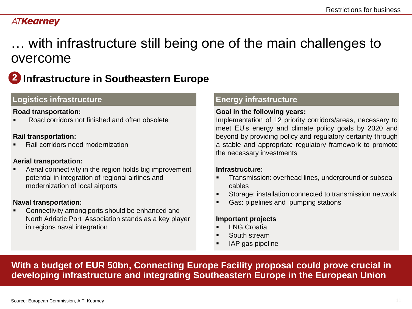# … with infrastructure still being one of the main challenges to overcome

# **2 Infrastructure in Southeastern Europe**

### **Logistics infrastructure**

#### **Road transportation:**

Road corridors not finished and often obsolete

#### **Rail transportation:**

Rail corridors need modernization

#### **Aerial transportation:**

 Aerial connectivity in the region holds big improvement potential in integration of regional airlines and modernization of local airports

#### **Naval transportation:**

 Connectivity among ports should be enhanced and North Adriatic Port Association stands as a key player in regions naval integration

### **Energy infrastructure**

#### **Goal in the following years:**

Implementation of 12 priority corridors/areas, necessary to meet EU's energy and climate policy goals by 2020 and beyond by providing policy and regulatory certainty through a stable and appropriate regulatory framework to promote the necessary investments

#### **Infrastructure:**

- Transmission: overhead lines, underground or subsea cables
- Storage: installation connected to transmission network
- Gas: pipelines and pumping stations

#### **Important projects**

- LNG Croatia
- South stream
- IAP gas pipeline

**With a budget of EUR 50bn, Connecting Europe Facility proposal could prove crucial in developing infrastructure and integrating Southeastern Europe in the European Union**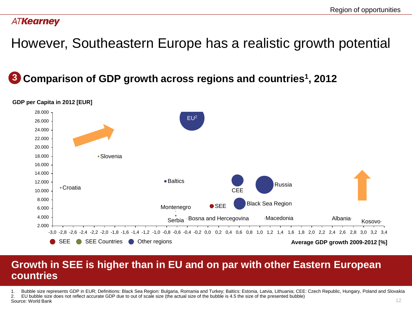However, Southeastern Europe has a realistic growth potential

# **Comparison of GDP growth across regions and countries<sup>1</sup> , 2012 3**



#### **GDP per Capita in 2012 [EUR]**

# **Growth in SEE is higher than in EU and on par with other Eastern European countries**

1. Bubble size represents GDP in EUR; Definitions: Black Sea Region: Bulgaria, Romania and Turkey; Baltics: Estonia, Latvia, Lithuania; CEE: Czech Republic, Hungary, Poland and Slovakia

2. EU bubble size does not reflect accurate GDP due to out of scale size (the actual size of the bubble is 4.5 the size of the presented bubble)

Source: World Bank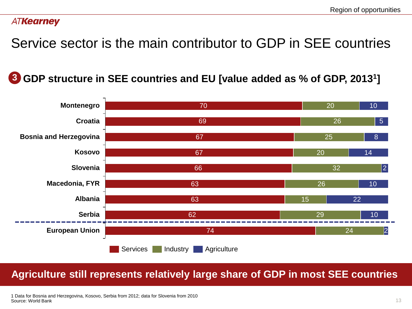Service sector is the main contributor to GDP in SEE countries

**GDP structure in SEE countries and EU [value added as % of GDP, 2013<sup>1</sup> ]**



# **Agriculture still represents relatively large share of GDP in most SEE countries**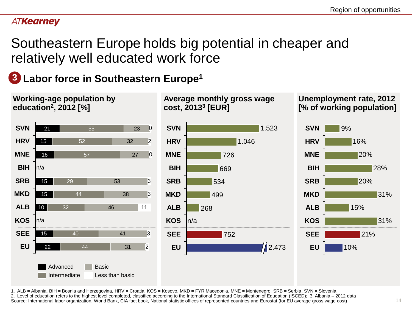Southeastern Europe holds big potential in cheaper and relatively well educated work force

**Labor force in Southeastern Europe<sup>1</sup> 3**



1. ALB = Albania, BIH = Bosnia and Herzegovina, HRV = Croatia, KOS = Kosovo, MKD = FYR Macedonia, MNE = Montenegro, SRB = Serbia, SVN = Slovenia 2. Level of education refers to the highest level completed, classified according to the International Standard Classification of Education (ISCED); 3. Albania – 2012 data Source: International labor organization, World Bank, CIA fact book, National statistic offices of represented countries and Eurostat (for EU average gross wage cost)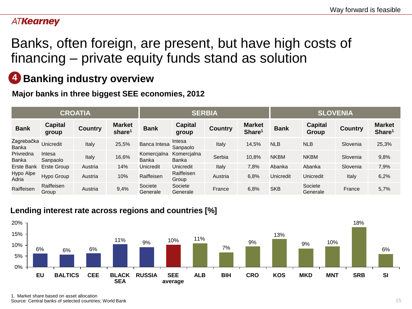# Banks, often foreign, are present, but have high costs of financing – private equity funds stand as solution

#### **Banking industry overview 4**

**Major banks in three biggest SEE economies, 2012** 

| <b>CROATIA</b>      |                     |                |                                     | <b>SERBIA</b>        |                      |         |                                     | <b>SLOVENIA</b>  |                         |                |                                     |
|---------------------|---------------------|----------------|-------------------------------------|----------------------|----------------------|---------|-------------------------------------|------------------|-------------------------|----------------|-------------------------------------|
| <b>Bank</b>         | Capital<br>group    | <b>Country</b> | <b>Market</b><br>share <sup>1</sup> | <b>Bank</b>          | Capital<br>group     | Country | <b>Market</b><br>Share <sup>1</sup> | <b>Bank</b>      | <b>Capital</b><br>Group | <b>Country</b> | <b>Market</b><br>Share <sup>1</sup> |
| Zagrebačka<br>Banka | Unicredit           | Italy          | 25,5%                               | Banca Intesa         | Intesa<br>Sanpaolo   | Italy   | 14,5%                               | <b>NLB</b>       | <b>NLB</b>              | Slovenia       | 25,3%                               |
| Privredna<br>Banka  | Intesa<br>Sanpaolo  | Italy          | 16,6%                               | Komercjalna<br>Banka | Komercjalna<br>Banka | Serbia  | 10,8%                               | <b>NKBM</b>      | <b>NKBM</b>             | Slovenia       | 9,8%                                |
| Erste Bank          | Erste Group         | Austria        | 14%                                 | Unicredit            | <b>Unicredit</b>     | Italy   | 7,8%                                | Abanka           | Abanka                  | Slovenia       | 7,9%                                |
| Hypo Alpe<br>Adria  | Hypo Group          | Austria        | 10%                                 | Raiffeisen           | Raiffeisen<br>Group  | Austria | 6,8%                                | <b>Unicredit</b> | Unicredit               | Italy          | 6,2%                                |
| Raiffeisen          | Raiffeisen<br>Group | Austria        | 9,4%                                | Societe<br>Generale  | Societe<br>Generale  | France  | 6,8%                                | <b>SKB</b>       | Societe<br>Generale     | France         | 5,7%                                |

### **Lending interest rate across regions and countries [%]**



1. Market share based on asset allocation Source: Central banks of selected countries; World Bank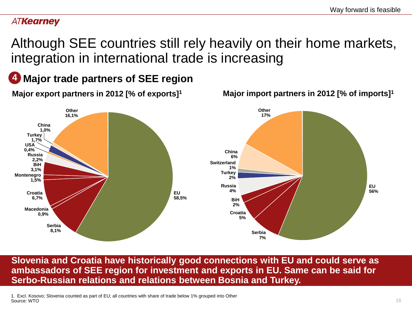Although SEE countries still rely heavily on their home markets, integration in international trade is increasing

**Major trade partners of SEE region 4**



**Slovenia and Croatia have historically good connections with EU and could serve as ambassadors of SEE region for investment and exports in EU. Same can be said for Serbo-Russian relations and relations between Bosnia and Turkey.**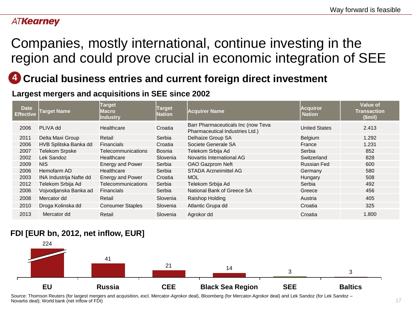# Companies, mostly international, continue investing in the region and could prove crucial in economic integration of SEE

# **4 Crucial business entries and current foreign direct investment**

**Largest mergers and acquisitions in SEE since 2002** 

| <b>Date</b><br><b>Effective</b> | Target Name                    | <b>Target</b><br>Macro<br>Industry | Target<br><b>Nation</b> | <b>Acquirer Name</b>                                                  | <b>Acquiror</b><br><b>Nation</b> | <b>Value of</b><br><b>Transaction</b><br>$$$ mil $)$ |
|---------------------------------|--------------------------------|------------------------------------|-------------------------|-----------------------------------------------------------------------|----------------------------------|------------------------------------------------------|
| 2006                            | PLIVA dd                       | Healthcare                         | Croatia                 | Barr Pharmaceuticals Inc (now Teva<br>Pharmaceutical Industries Ltd.) | <b>United States</b>             | 2.413                                                |
| 2011                            | Delta Maxi Group               | Retail                             | Serbia                  | Delhaize Group SA                                                     | Belgium                          | 1.292                                                |
| 2006                            | HVB Splitska Banka dd          | Financials                         | Croatia                 | Societe Generale SA                                                   | France                           | 1.231                                                |
| 2007                            | <b>Telekom Srpske</b>          | <b>Telecommunications</b>          | Bosnia                  | Telekom Srbija Ad                                                     | Serbia                           | 852                                                  |
| 2002                            | Lek Sandoz                     | Healthcare                         | Slovenia                | Novartis International AG                                             | Switzerland                      | 828                                                  |
| 2009                            | <b>NIS</b>                     | <b>Energy and Power</b>            | Serbia                  | <b>OAO Gazprom Neft</b>                                               | <b>Russian Fed</b>               | 600                                                  |
| 2006                            | Hemofarm AD                    | Healthcare                         | Serbia                  | <b>STADA Arzneimittel AG</b>                                          | Germany                          | 580                                                  |
| 2003                            | <b>INA Industrija Nafte dd</b> | <b>Energy and Power</b>            | Croatia                 | <b>MOL</b>                                                            | Hungary                          | 508                                                  |
| 2012                            | Telekom Srbija Ad              | <b>Telecommunications</b>          | Serbia                  | Telekom Srbija Ad                                                     | Serbia                           | 492                                                  |
| 2006                            | Vojvodjanska Banka ad          | <b>Financials</b>                  | Serbia                  | National Bank of Greece SA                                            | Greece                           | 456                                                  |
| 2008                            | Mercator dd                    | Retail                             | Slovenia                | Raishop Holding                                                       | Austria                          | 405                                                  |
| 2010                            | Droga Kolinska dd              | <b>Consumer Staples</b>            | Slovenia                | Atlantic Grupa dd                                                     | Croatia                          | 325                                                  |
| 2013                            | Mercator dd                    | Retail                             | Slovenia                | Agrokor dd                                                            | Croatia                          | 1.800                                                |

### **FDI [EUR bn, 2012, net inflow, EUR]**



Source: Thomson Reuters (for largest mergers and acquisition, excl. Mercator-Agrokor deal), Bloomberg (for Mercator-Agrokor deal) and Lek Sandoz (for Lek Sandoz – Novartis deal); World bank (net inflow of FDI)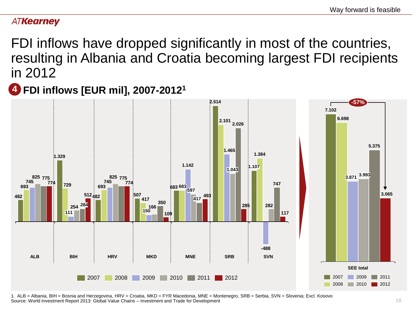FDI inflows have dropped significantly in most of the countries, resulting in Albania and Croatia becoming largest FDI recipients in 2012

**FDI inflows [EUR mil], 2007-2012<sup>1</sup> 4**



1. ALB = Albania, BIH = Bosnia and Herzegovina, HRV = Croatia, MKD = FYR Macedonia, MNE = Montenegro, SRB = Serbia, SVN = Slovenia; Excl. Kosovo Source: World Investment Report 2013: Global Value Chains – Investment and Trade for Development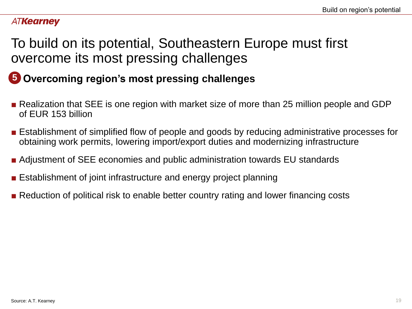# To build on its potential, Southeastern Europe must first overcome its most pressing challenges

# **5 Overcoming region's most pressing challenges**

- Realization that SEE is one region with market size of more than 25 million people and GDP of EUR 153 billion
- Establishment of simplified flow of people and goods by reducing administrative processes for obtaining work permits, lowering import/export duties and modernizing infrastructure
- Adjustment of SEE economies and public administration towards EU standards
- Establishment of joint infrastructure and energy project planning
- Reduction of political risk to enable better country rating and lower financing costs